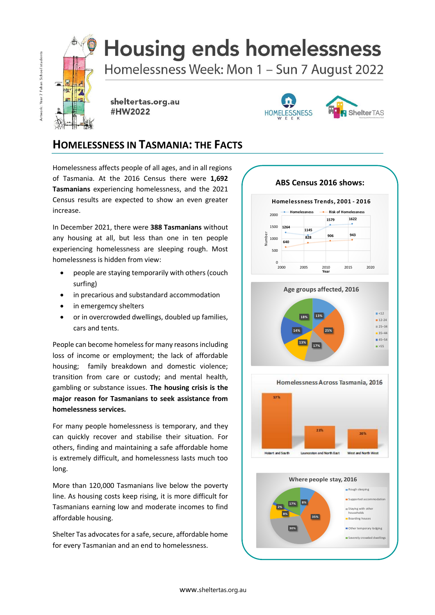

# **Housing ends homelessness**

Homelessness Week: Mon 1 - Sun 7 August 2022

 $E$ 富 献 æ

sheltertas.org.au #HW2022



## **HOMELESSNESS IN TASMANIA: THE FACTS**

Homelessness affects people of all ages, and in all regions of Tasmania. At the 2016 Census there were **1,692 Tasmanians** experiencing homelessness, and the 2021 Census results are expected to show an even greater increase.

In December 2021, there were **388 Tasmanians** without any housing at all, but less than one in ten people experiencing homelessness are sleeping rough. Most homelessness is hidden from view:

- people are staying temporarily with others (couch surfing)
- in precarious and substandard accommodation
- in emergemcy shelters
- or in overcrowded dwellings, doubled up families, cars and tents.

People can become homeless for many reasons including loss of income or employment; the lack of affordable housing; family breakdown and domestic violence; transition from care or custody; and mental health, gambling or substance issues. **The housing crisis is the major reason for Tasmanians to seek assistance from homelessness services.**

For many people homelessness is temporary, and they can quickly recover and stabilise their situation. For others, finding and maintaining a safe affordable home is extremely difficult, and homelessness lasts much too long.

More than 120,000 Tasmanians live below the poverty line. As housing costs keep rising, it is more difficult for Tasmanians earning low and moderate incomes to find affordable housing.

Shelter Tas advocates for a safe, secure, affordable home for every Tasmanian and an end to homelessness.

**ABS Census 2016 shows:**